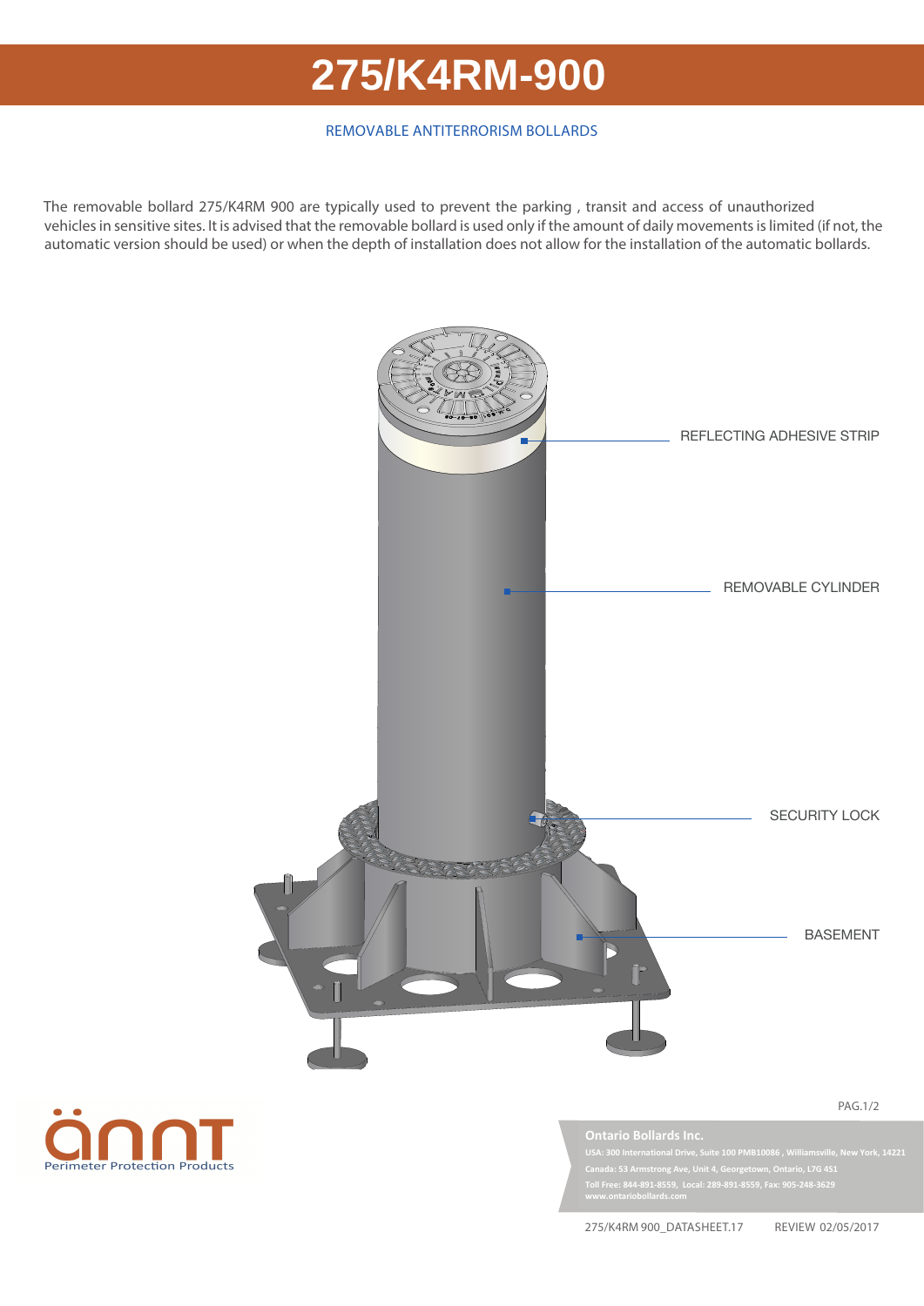## 275/K4RM 900 **275/K4RM-900**

## REMOVABLE ANTITERRORISM BOLLARDS

The removable bollard 275/K4RM 900 are typically used to prevent the parking , transit and access of unauthorized vehicles in sensitive sites. It is advised that the removable bollard is used only if the amount of daily movements is limited (if not, the automatic version should be used) or when the depth of installation does not allow for the installation of the automatic bollards.





**USA: 300 International Drive, Suite 100 PMB10086 , Williamsville, New York, 14221 Canada: 53 Armstrong Ave, Unit 4, Georgetown, Ontario, L7G 4S1 Toll Free: 844-891-8559, Local: 289-891-8559, Fax: 905-248-3629 www.ontariobollards.com**

275/K4RM 900\_DATASHEET.17 REVIEW 02/05/2017